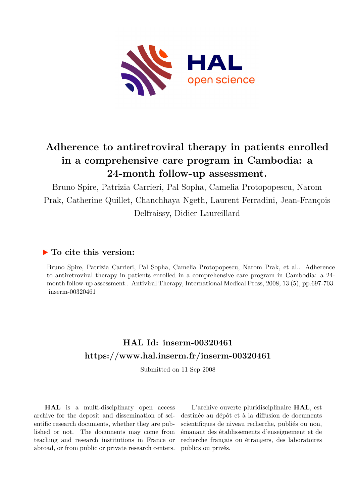

# **Adherence to antiretroviral therapy in patients enrolled in a comprehensive care program in Cambodia: a 24-month follow-up assessment.**

Bruno Spire, Patrizia Carrieri, Pal Sopha, Camelia Protopopescu, Narom Prak, Catherine Quillet, Chanchhaya Ngeth, Laurent Ferradini, Jean-François Delfraissy, Didier Laureillard

## **To cite this version:**

Bruno Spire, Patrizia Carrieri, Pal Sopha, Camelia Protopopescu, Narom Prak, et al.. Adherence to antiretroviral therapy in patients enrolled in a comprehensive care program in Cambodia: a 24 month follow-up assessment.. Antiviral Therapy, International Medical Press, 2008, 13 (5), pp.697-703.  $inserm-00320461$ 

## **HAL Id: inserm-00320461 <https://www.hal.inserm.fr/inserm-00320461>**

Submitted on 11 Sep 2008

**HAL** is a multi-disciplinary open access archive for the deposit and dissemination of scientific research documents, whether they are published or not. The documents may come from teaching and research institutions in France or abroad, or from public or private research centers.

L'archive ouverte pluridisciplinaire **HAL**, est destinée au dépôt et à la diffusion de documents scientifiques de niveau recherche, publiés ou non, émanant des établissements d'enseignement et de recherche français ou étrangers, des laboratoires publics ou privés.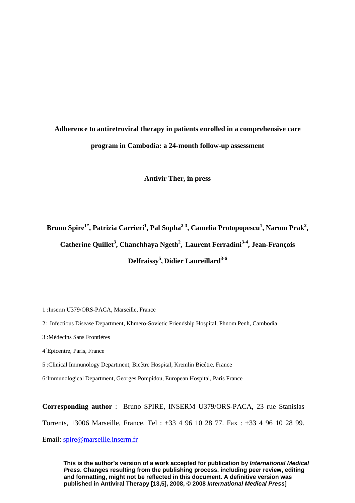# **Adherence to antiretroviral therapy in patients enrolled in a comprehensive care program in Cambodia: a 24-month follow-up assessment**

**Antivir Ther, in press** 

Bruno Spire<sup>1\*</sup>, Patrizia Carrieri<sup>1</sup>, Pal Sopha<sup>2-3</sup>, Camelia Protopopescu<sup>1</sup>, Narom Prak<sup>2</sup>, Catherine Quillet<sup>3</sup>, Chanchhaya Ngeth<sup>2</sup>, Laurent Ferradini<sup>3-4</sup>, Jean-François **Delfraissy5 , Didier Laureillard3-6**

- 1 :Inserm U379/ORS-PACA, Marseille, France
- 2: Infectious Disease Department, Khmero-Sovietic Friendship Hospital, Phnom Penh, Cambodia
- 3 :Médecins Sans Frontières
- 4 Epicentre, Paris, France
- 5 :Clinical Immunology Department, Bicêtre Hospital, Kremlin Bicêtre, France
- 6 :Immunological Department, Georges Pompidou, European Hospital, Paris France

**Corresponding author** : Bruno SPIRE, INSERM U379/ORS-PACA, 23 rue Stanislas

Torrents, 13006 Marseille, France. Tel : +33 4 96 10 28 77. Fax : +33 4 96 10 28 99.

Email: [spire@marseille.inserm.fr](mailto:spire@marseille.inserm.fr)

 **This is the author's version of a work accepted for publication by** *International Medical Press***. Changes resulting from the publishing process, including peer review, editing and formatting, might not be reflected in this document. A definitive version was published in Antiviral Therapy [13,5], 2008, © 2008** *International Medical Press***]**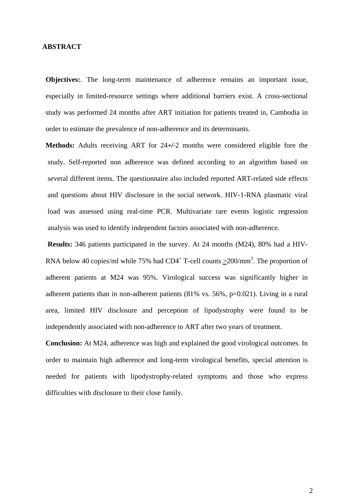#### **ABSTRACT**

**Objectives:**. The long-term maintenance of adherence remains an important issue, especially in limited-resource settings where additional barriers exist. A cross-sectional study was performed 24 months after ART initiation for patients treated in, Cambodia in order to estimate the prevalence of non-adherence and its determinants.

**Methods:** Adults receiving ART for 24*+/-*2 months were considered eligible fore the study. Self-reported non adherence was defined according to an algorithm based on several different items. The questionnaire also included reported ART-related side effects and questions about HIV disclosure in the social network. HIV-1-RNA plasmatic viral load was assessed using real-time PCR. Multivariate rare events logistic regression analysis was used to identify independent factors associated with non-adherence.

**Results:** 346 patients participated in the survey. At 24 months (M24), 80% had a HIV-RNA below 40 copies/ml while 75% had  $CD4^+$  T-cell counts  $\geq$ 200/mm<sup>3</sup>. The proportion of adherent patients at M24 was 95%. Virological success was significantly higher in adherent patients than in non-adherent patients (81% vs. 56%, p=0.021). Living in a rural area, limited HIV disclosure and perception of lipodystrophy were found to be independently associated with non-adherence to ART after two years of treatment.

**Conclusion:** At M24, adherence was high and explained the good virological outcomes. In order to maintain high adherence and long-term virological benefits, special attention is needed for patients with lipodystrophy-related symptoms and those who express difficulties with disclosure to their close family.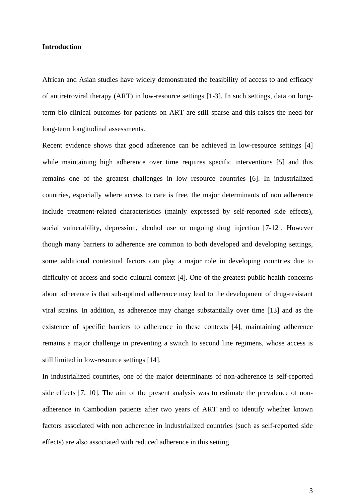#### **Introduction**

African and Asian studies have widely demonstrated the feasibility of access to and efficacy of antiretroviral therapy (ART) in low-resource settings [1-3]. In such settings, data on longterm bio-clinical outcomes for patients on ART are still sparse and this raises the need for long-term longitudinal assessments.

Recent evidence shows that good adherence can be achieved in low-resource settings [4] while maintaining high adherence over time requires specific interventions [5] and this remains one of the greatest challenges in low resource countries [6]. In industrialized countries, especially where access to care is free, the major determinants of non adherence include treatment-related characteristics (mainly expressed by self-reported side effects), social vulnerability, depression, alcohol use or ongoing drug injection [7-12]. However though many barriers to adherence are common to both developed and developing settings, some additional contextual factors can play a major role in developing countries due to difficulty of access and socio-cultural context [4]. One of the greatest public health concerns about adherence is that sub-optimal adherence may lead to the development of drug-resistant viral strains. In addition, as adherence may change substantially over time [13] and as the existence of specific barriers to adherence in these contexts [4], maintaining adherence remains a major challenge in preventing a switch to second line regimens, whose access is still limited in low-resource settings [14].

In industrialized countries, one of the major determinants of non-adherence is self-reported side effects [7, 10]. The aim of the present analysis was to estimate the prevalence of nonadherence in Cambodian patients after two years of ART and to identify whether known factors associated with non adherence in industrialized countries (such as self-reported side effects) are also associated with reduced adherence in this setting.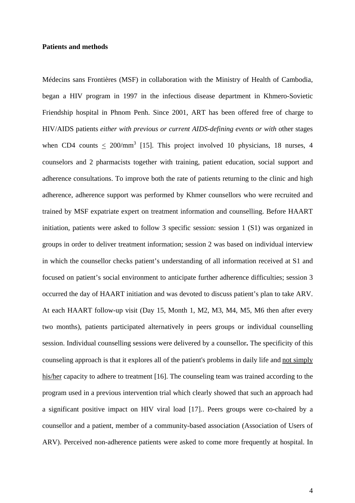#### **Patients and methods**

Médecins sans Frontières (MSF) in collaboration with the Ministry of Health of Cambodia, began a HIV program in 1997 in the infectious disease department in Khmero-Sovietic Friendship hospital in Phnom Penh. Since 2001, ART has been offered free of charge to HIV/AIDS patients *either with previous or current AIDS-defining events or with* other stages when CD4 counts  $\leq 200/\text{mm}^3$  [15]. This project involved 10 physicians, 18 nurses, 4 counselors and 2 pharmacists together with training, patient education, social support and adherence consultations. To improve both the rate of patients returning to the clinic and high adherence, adherence support was performed by Khmer counsellors who were recruited and trained by MSF expatriate expert on treatment information and counselling. Before HAART initiation, patients were asked to follow 3 specific session: session 1 (S1) was organized in groups in order to deliver treatment information; session 2 was based on individual interview in which the counsellor checks patient's understanding of all information received at S1 and focused on patient's social environment to anticipate further adherence difficulties; session 3 occurred the day of HAART initiation and was devoted to discuss patient's plan to take ARV. At each HAART follow-up visit (Day 15, Month 1, M2, M3, M4, M5, M6 then after every two months), patients participated alternatively in peers groups or individual counselling session. Individual counselling sessions were delivered by a counsellor**.** The specificity of this counseling approach is that it explores all of the patient's problems in daily life and not simply his/her capacity to adhere to treatment [16]. The counseling team was trained according to the program used in a previous intervention trial which clearly showed that such an approach had a significant positive impact on HIV viral load [17].. Peers groups were co-chaired by a counsellor and a patient, member of a community-based association (Association of Users of ARV). Perceived non-adherence patients were asked to come more frequently at hospital. In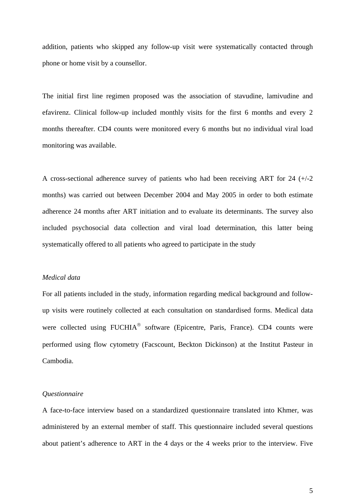addition, patients who skipped any follow-up visit were systematically contacted through phone or home visit by a counsellor.

The initial first line regimen proposed was the association of stavudine, lamivudine and efavirenz. Clinical follow-up included monthly visits for the first 6 months and every 2 months thereafter. CD4 counts were monitored every 6 months but no individual viral load monitoring was available.

A cross-sectional adherence survey of patients who had been receiving ART for 24 (+/-2 months) was carried out between December 2004 and May 2005 in order to both estimate adherence 24 months after ART initiation and to evaluate its determinants. The survey also included psychosocial data collection and viral load determination, this latter being systematically offered to all patients who agreed to participate in the study

#### *Medical data*

For all patients included in the study, information regarding medical background and followup visits were routinely collected at each consultation on standardised forms. Medical data were collected using FUCHIA<sup>®</sup> software (Epicentre, Paris, France). CD4 counts were performed using flow cytometry (Facscount, Beckton Dickinson) at the Institut Pasteur in Cambodia.

#### *Questionnaire*

A face-to-face interview based on a standardized questionnaire translated into Khmer, was administered by an external member of staff. This questionnaire included several questions about patient's adherence to ART in the 4 days or the 4 weeks prior to the interview. Five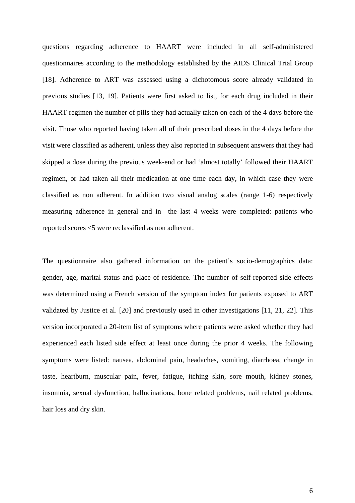questions regarding adherence to HAART were included in all self-administered questionnaires according to the methodology established by the AIDS Clinical Trial Group [18]. Adherence to ART was assessed using a dichotomous score already validated in previous studies [13, 19]. Patients were first asked to list, for each drug included in their HAART regimen the number of pills they had actually taken on each of the 4 days before the visit. Those who reported having taken all of their prescribed doses in the 4 days before the visit were classified as adherent, unless they also reported in subsequent answers that they had skipped a dose during the previous week-end or had 'almost totally' followed their HAART regimen, or had taken all their medication at one time each day, in which case they were classified as non adherent. In addition two visual analog scales (range 1-6) respectively measuring adherence in general and in the last 4 weeks were completed: patients who reported scores <5 were reclassified as non adherent.

The questionnaire also gathered information on the patient's socio-demographics data: gender, age, marital status and place of residence. The number of self-reported side effects was determined using a French version of the symptom index for patients exposed to ART validated by Justice et al. [20] and previously used in other investigations [11, 21, 22]. This version incorporated a 20-item list of symptoms where patients were asked whether they had experienced each listed side effect at least once during the prior 4 weeks. The following symptoms were listed: nausea, abdominal pain, headaches, vomiting, diarrhoea, change in taste, heartburn, muscular pain, fever, fatigue, itching skin, sore mouth, kidney stones, insomnia, sexual dysfunction, hallucinations, bone related problems, nail related problems, hair loss and dry skin.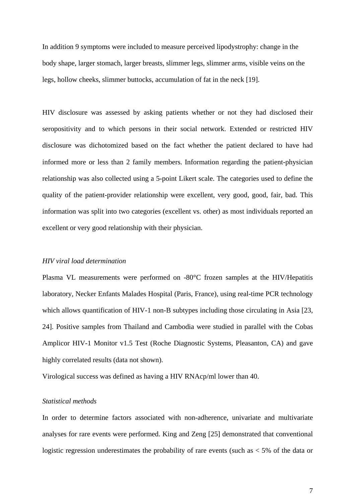In addition 9 symptoms were included to measure perceived lipodystrophy: change in the body shape, larger stomach, larger breasts, slimmer legs, slimmer arms, visible veins on the legs, hollow cheeks, slimmer buttocks, accumulation of fat in the neck [19].

HIV disclosure was assessed by asking patients whether or not they had disclosed their seropositivity and to which persons in their social network. Extended or restricted HIV disclosure was dichotomized based on the fact whether the patient declared to have had informed more or less than 2 family members. Information regarding the patient-physician relationship was also collected using a 5-point Likert scale. The categories used to define the quality of the patient-provider relationship were excellent, very good, good, fair, bad. This information was split into two categories (excellent vs. other) as most individuals reported an excellent or very good relationship with their physician.

#### *HIV viral load determination*

Plasma VL measurements were performed on -80°C frozen samples at the HIV/Hepatitis laboratory, Necker Enfants Malades Hospital (Paris, France), using real-time PCR technology which allows quantification of HIV-1 non-B subtypes including those circulating in Asia [23, 24]. Positive samples from Thailand and Cambodia were studied in parallel with the Cobas Amplicor HIV-1 Monitor v1.5 Test (Roche Diagnostic Systems, Pleasanton, CA) and gave highly correlated results (data not shown).

Virological success was defined as having a HIV RNAcp/ml lower than 40.

#### *Statistical methods*

In order to determine factors associated with non-adherence, univariate and multivariate analyses for rare events were performed. King and Zeng [25] demonstrated that conventional logistic regression underestimates the probability of rare events (such as  $<$  5% of the data or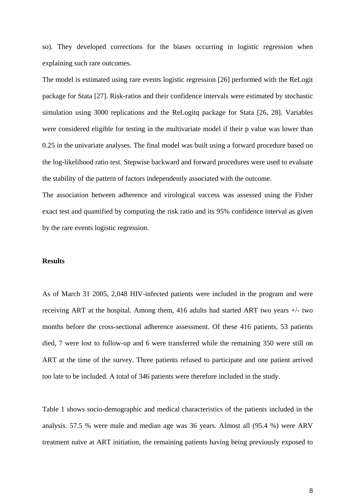so). They developed corrections for the biases occurring in logistic regression when explaining such rare outcomes.

The model is estimated using rare events logistic regression [26] performed with the ReLogit package for Stata [27]. Risk-ratios and their confidence intervals were estimated by stochastic simulation using 3000 replications and the ReLogitq package for Stata [26, 28]. Variables were considered eligible for testing in the multivariate model if their p value was lower than 0.25 in the univariate analyses. The final model was built using a forward procedure based on the log-likelihood ratio test. Stepwise backward and forward procedures were used to evaluate the stability of the pattern of factors independently associated with the outcome.

The association between adherence and virological success was assessed using the Fisher exact test and quantified by computing the risk ratio and its 95% confidence interval as given by the rare events logistic regression.

#### **Results**

As of March 31 2005, 2,048 HIV-infected patients were included in the program and were receiving ART at the hospital. Among them, 416 adults had started ART two years +/- two months before the cross-sectional adherence assessment. Of these 416 patients, 53 patients died, 7 were lost to follow-up and 6 were transferred while the remaining 350 were still on ART at the time of the survey. Three patients refused to participate and one patient arrived too late to be included. A total of 346 patients were therefore included in the study.

Table 1 shows socio-demographic and medical characteristics of the patients included in the analysis. 57.5 % were male and median age was 36 years. Almost all (95.4 %) were ARV treatment naïve at ART initiation, the remaining patients having being previously exposed to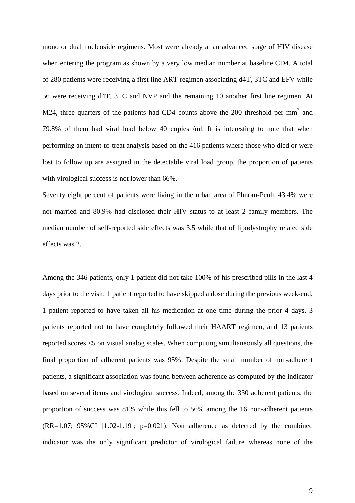mono or dual nucleoside regimens. Most were already at an advanced stage of HIV disease when entering the program as shown by a very low median number at baseline CD4. A total of 280 patients were receiving a first line ART regimen associating d4T, 3TC and EFV while 56 were receiving d4T, 3TC and NVP and the remaining 10 another first line regimen. At M24, three quarters of the patients had CD4 counts above the 200 threshold per  $mm<sup>3</sup>$  and 79.8% of them had viral load below 40 copies /ml. It is interesting to note that when performing an intent-to-treat analysis based on the 416 patients where those who died or were lost to follow up are assigned in the detectable viral load group, the proportion of patients with virological success is not lower than 66%.

Seventy eight percent of patients were living in the urban area of Phnom-Penh, 43.4% were not married and 80.9% had disclosed their HIV status to at least 2 family members. The median number of self-reported side effects was 3.5 while that of lipodystrophy related side effects was 2.

Among the 346 patients, only 1 patient did not take 100% of his prescribed pills in the last 4 days prior to the visit, 1 patient reported to have skipped a dose during the previous week-end, 1 patient reported to have taken all his medication at one time during the prior 4 days, 3 patients reported not to have completely followed their HAART regimen, and 13 patients reported scores <5 on visual analog scales. When computing simultaneously all questions, the final proportion of adherent patients was 95%. Despite the small number of non-adherent patients, a significant association was found between adherence as computed by the indicator based on several items and virological success. Indeed, among the 330 adherent patients, the proportion of success was 81% while this fell to 56% among the 16 non-adherent patients  $(RR=1.07; 95\% CI [1.02-1.19]; p=0.021)$ . Non adherence as detected by the combined indicator was the only significant predictor of virological failure whereas none of the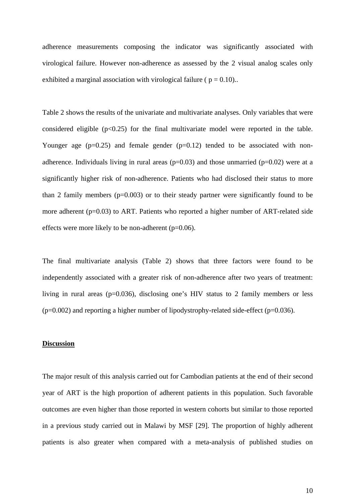adherence measurements composing the indicator was significantly associated with virological failure. However non-adherence as assessed by the 2 visual analog scales only exhibited a marginal association with virological failure ( $p = 0.10$ )..

Table 2 shows the results of the univariate and multivariate analyses. Only variables that were considered eligible  $(p<0.25)$  for the final multivariate model were reported in the table. Younger age  $(p=0.25)$  and female gender  $(p=0.12)$  tended to be associated with nonadherence. Individuals living in rural areas ( $p=0.03$ ) and those unmarried ( $p=0.02$ ) were at a significantly higher risk of non-adherence. Patients who had disclosed their status to more than 2 family members  $(p=0.003)$  or to their steady partner were significantly found to be more adherent  $(p=0.03)$  to ART. Patients who reported a higher number of ART-related side effects were more likely to be non-adherent  $(p=0.06)$ .

The final multivariate analysis (Table 2) shows that three factors were found to be independently associated with a greater risk of non-adherence after two years of treatment: living in rural areas ( $p=0.036$ ), disclosing one's HIV status to 2 family members or less  $(p=0.002)$  and reporting a higher number of lipodystrophy-related side-effect ( $p=0.036$ ).

#### **Discussion**

The major result of this analysis carried out for Cambodian patients at the end of their second year of ART is the high proportion of adherent patients in this population. Such favorable outcomes are even higher than those reported in western cohorts but similar to those reported in a previous study carried out in Malawi by MSF [29]. The proportion of highly adherent patients is also greater when compared with a meta-analysis of published studies on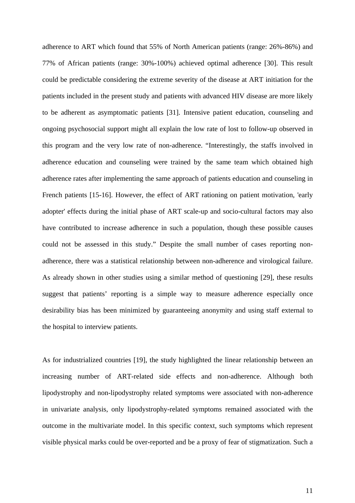adherence to ART which found that 55% of North American patients (range: 26%-86%) and 77% of African patients (range: 30%-100%) achieved optimal adherence [30]. This result could be predictable considering the extreme severity of the disease at ART initiation for the patients included in the present study and patients with advanced HIV disease are more likely to be adherent as asymptomatic patients [31]. Intensive patient education, counseling and ongoing psychosocial support might all explain the low rate of lost to follow-up observed in this program and the very low rate of non-adherence. "Interestingly, the staffs involved in adherence education and counseling were trained by the same team which obtained high adherence rates after implementing the same approach of patients education and counseling in French patients [15-16]. However, the effect of ART rationing on patient motivation, 'early adopter' effects during the initial phase of ART scale-up and socio-cultural factors may also have contributed to increase adherence in such a population, though these possible causes could not be assessed in this study." Despite the small number of cases reporting nonadherence, there was a statistical relationship between non-adherence and virological failure. As already shown in other studies using a similar method of questioning [29], these results suggest that patients' reporting is a simple way to measure adherence especially once desirability bias has been minimized by guaranteeing anonymity and using staff external to the hospital to interview patients.

As for industrialized countries [19], the study highlighted the linear relationship between an increasing number of ART-related side effects and non-adherence. Although both lipodystrophy and non-lipodystrophy related symptoms were associated with non-adherence in univariate analysis, only lipodystrophy-related symptoms remained associated with the outcome in the multivariate model. In this specific context, such symptoms which represent visible physical marks could be over-reported and be a proxy of fear of stigmatization. Such a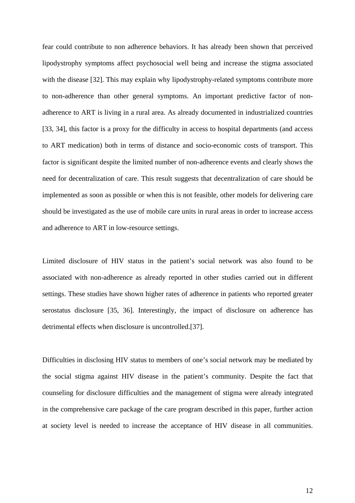fear could contribute to non adherence behaviors. It has already been shown that perceived lipodystrophy symptoms affect psychosocial well being and increase the stigma associated with the disease [32]. This may explain why lipodystrophy-related symptoms contribute more to non-adherence than other general symptoms. An important predictive factor of nonadherence to ART is living in a rural area. As already documented in industrialized countries [33, 34], this factor is a proxy for the difficulty in access to hospital departments (and access to ART medication) both in terms of distance and socio-economic costs of transport. This factor is significant despite the limited number of non-adherence events and clearly shows the need for decentralization of care. This result suggests that decentralization of care should be implemented as soon as possible or when this is not feasible, other models for delivering care should be investigated as the use of mobile care units in rural areas in order to increase access and adherence to ART in low-resource settings.

Limited disclosure of HIV status in the patient's social network was also found to be associated with non-adherence as already reported in other studies carried out in different settings. These studies have shown higher rates of adherence in patients who reported greater serostatus disclosure [35, 36]. Interestingly, the impact of disclosure on adherence has detrimental effects when disclosure is uncontrolled.[37].

Difficulties in disclosing HIV status to members of one's social network may be mediated by the social stigma against HIV disease in the patient's community. Despite the fact that counseling for disclosure difficulties and the management of stigma were already integrated in the comprehensive care package of the care program described in this paper, further action at society level is needed to increase the acceptance of HIV disease in all communities.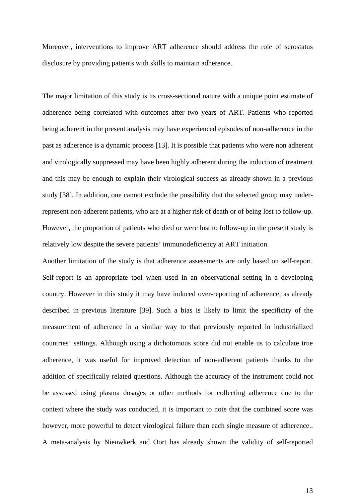Moreover, interventions to improve ART adherence should address the role of serostatus disclosure by providing patients with skills to maintain adherence.

The major limitation of this study is its cross-sectional nature with a unique point estimate of adherence being correlated with outcomes after two years of ART. Patients who reported being adherent in the present analysis may have experienced episodes of non-adherence in the past as adherence is a dynamic process [13]. It is possible that patients who were non adherent and virologically suppressed may have been highly adherent during the induction of treatment and this may be enough to explain their virological success as already shown in a previous study [38]. In addition, one cannot exclude the possibility that the selected group may underrepresent non-adherent patients, who are at a higher risk of death or of being lost to follow-up. However, the proportion of patients who died or were lost to follow-up in the present study is relatively low despite the severe patients' immunodeficiency at ART initiation.

Another limitation of the study is that adherence assessments are only based on self-report. Self-report is an appropriate tool when used in an observational setting in a developing country. However in this study it may have induced over-reporting of adherence, as already described in previous literature [39]. Such a bias is likely to limit the specificity of the measurement of adherence in a similar way to that previously reported in industrialized countries' settings. Although using a dichotomous score did not enable us to calculate true adherence, it was useful for improved detection of non-adherent patients thanks to the addition of specifically related questions. Although the accuracy of the instrument could not be assessed using plasma dosages or other methods for collecting adherence due to the context where the study was conducted, it is important to note that the combined score was however, more powerful to detect virological failure than each single measure of adherence.. A meta-analysis by Nieuwkerk and Oort has already shown the validity of self-reported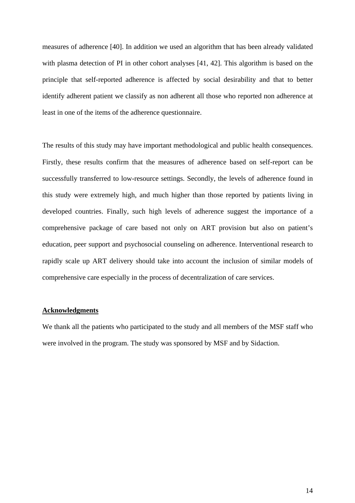measures of adherence [40]. In addition we used an algorithm that has been already validated with plasma detection of PI in other cohort analyses [41, 42]. This algorithm is based on the principle that self-reported adherence is affected by social desirability and that to better identify adherent patient we classify as non adherent all those who reported non adherence at least in one of the items of the adherence questionnaire.

The results of this study may have important methodological and public health consequences. Firstly, these results confirm that the measures of adherence based on self-report can be successfully transferred to low-resource settings. Secondly, the levels of adherence found in this study were extremely high, and much higher than those reported by patients living in developed countries. Finally, such high levels of adherence suggest the importance of a comprehensive package of care based not only on ART provision but also on patient's education, peer support and psychosocial counseling on adherence. Interventional research to rapidly scale up ART delivery should take into account the inclusion of similar models of comprehensive care especially in the process of decentralization of care services.

#### **Acknowledgments**

We thank all the patients who participated to the study and all members of the MSF staff who were involved in the program. The study was sponsored by MSF and by Sidaction.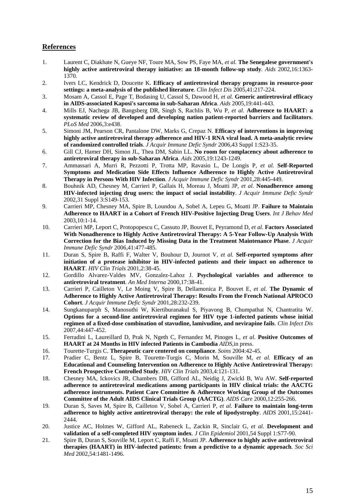### **References**

- 1. Laurent C, Diakhate N, Gueye NF, Toure MA, Sow PS, Faye MA*, et al.* **The Senegalese government's highly active antiretroviral therapy initiative: an 18-month follow-up study**. *Aids* 2002,16:1363- 1370.
- 2. Ivers LC, Kendrick D, Doucette K. **Efficacy of antiretroviral therapy programs in resource-poor settings: a meta-analysis of the published literature**. *Clin Infect Dis* 2005,41:217-224.
- 3. Mosam A, Cassol E, Page T, Bodasing U, Cassol S, Dawood H*, et al.* **Generic antiretroviral efficacy in AIDS-associated Kaposi's sarcoma in sub-Saharan Africa**. *Aids* 2005,19:441-443.
- 4. Mills EJ, Nachega JB, Bangsberg DR, Singh S, Rachlis B, Wu P*, et al.* **Adherence to HAART: a systematic review of developed and developing nation patient-reported barriers and facilitators**. *PLoS Med* 2006,3:e438.
- 5. Simoni JM, Pearson CR, Pantalone DW, Marks G, Crepaz N. **Efficacy of interventions in improving highly active antiretroviral therapy adherence and HIV-1 RNA viral load. A meta-analytic review of randomized controlled trials**. *J Acquir Immune Defic Syndr* 2006,43 Suppl 1:S23-35.
- 6. Gill CJ, Hamer DH, Simon JL, Thea DM, Sabin LL. **No room for complacency about adherence to antiretroviral therapy in sub-Saharan Africa**. *Aids* 2005,19:1243-1249.
- 7. Ammassari A, Murri R, Pezzotti P, Trotta MP, Ravasio L, De Longis P*, et al.* **Self-Reported Symptoms and Medication Side Effects Influence Adherence to Highly Active Antiretroviral Therapy in Persons With HIV Infection**. *J Acquir Immune Defic Syndr* 2001,28:445-449.
- 8. Bouhnik AD, Chesney M, Carrieri P, Gallais H, Moreau J, Moatti JP*, et al.* **Nonadherence among HIV-infected injecting drug users: the impact of social instability**. *J Acquir Immune Defic Syndr*  2002,31 Suppl 3:S149-153.
- 9. Carrieri MP, Chesney MA, Spire B, Loundou A, Sobel A, Lepeu G, Moatti JP. **Failure to Maintain Adherence to HAART in a Cohort of French HIV-Positive Injecting Drug Users**. *Int J Behav Med*  2003,10:1-14.
- 10. Carrieri MP, Leport C, Protopopescu C, Cassuto JP, Bouvet E, Peyramond D*, et al.* **Factors Associated With Nonadherence to Highly Active Antiretroviral Therapy: A 5-Year Follow-Up Analysis With Correction for the Bias Induced by Missing Data in the Treatment Maintenance Phase**. *J Acquir Immune Defic Syndr* 2006,41:477-485.
- 11. Duran S, Spire B, Raffi F, Walter V, Bouhour D, Journot V*, et al.* **Self-reported symptoms after initiation of a protease inhibitor in HIV-infected patients and their impact on adherence to HAART**. *HIV Clin Trials* 2001,2:38-45.
- 12. Gordillo Alvarez-Valdes MV, Gonzalez-Lahoz J. **Psychological variables and adherence to antiretroviral treatment**. *An Med Interna* 2000,17:38-41.
- 13. Carrieri P, Cailleton V, Le Moing V, Spire B, Dellamonica P, Bouvet E*, et al.* **The Dynamic of Adherence to Highly Active Antiretroviral Therapy: Results From the French National APROCO Cohort**. *J Acquir Immune Defic Syndr* 2001,28:232-239.
- 14. Sungkanuparph S, Manosuthi W, Kiertiburanakul S, Piyavong B, Chumpathat N, Chantratita W. **Options for a second-line antiretroviral regimen for HIV type 1-infected patients whose initial regimen of a fixed-dose combination of stavudine, lamivudine, and nevirapine fails**. *Clin Infect Dis*  2007,44:447-452.
- 15. Ferradini L, Laureillard D, Prak N, Ngeth C, Fernandez M, Pinoges L*, et al.* **Positive Outcomes of HAART at 24 Months in HIV infected Patients in Cambodia** *AIDS*,in press.
- 16. Tourette-Turgis C. **Therapeutic care centered on compliance**. *Soins* 2004:42-45.
- 17. Pradier C, Bentz L, Spire B, Tourette-Turgis C, Morin M, Souville M*, et al.* **Efficacy of an Educational and Counseling Intervention on Adherence to Highly Active Antiretroviral Therapy: French Prospective Controlled Study**. *HIV Clin Trials* 2003,4:121-131.
- 18. Chesney MA, Ickovics JR, Chambers DB, Gifford AL, Neidig J, Zwickl B, Wu AW. **Self-reported adherence to antiretroviral medications among participants in HIV clinical trials: the AACTG adherence instruments. Patient Care Committee & Adherence Working Group of the Outcomes Committee of the Adult AIDS Clinical Trials Group (AACTG)**. *AIDS Care* 2000,12:255-266.
- 19. Duran S, Saves M, Spire B, Cailleton V, Sobel A, Carrieri P*, et al.* **Failure to maintain long-term adherence to highly active antiretroviral therapy: the role of lipodystrophy**. *AIDS* 2001,15:2441- 2444.
- 20. Justice AC, Holmes W, Gifford AL, Rabeneck L, Zackin R, Sinclair G*, et al.* **Development and validation of a self-completed HIV symptom index**. *J Clin Epidemiol* 2001,54 Suppl 1:S77-90.
- 21. Spire B, Duran S, Souville M, Leport C, Raffi F, Moatti JP. **Adherence to highly active antiretroviral therapies (HAART) in HIV-infected patients: from a predictive to a dynamic approach**. *Soc Sci Med* 2002,54:1481-1496.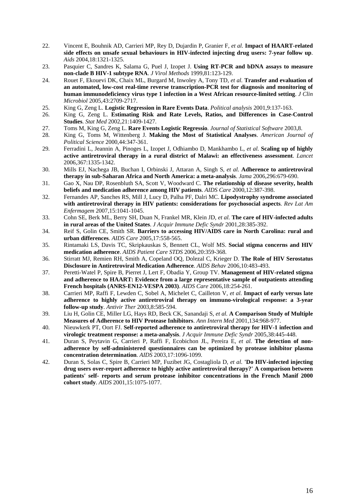- 22. Vincent E, Bouhnik AD, Carrieri MP, Rey D, Dujardin P, Granier F*, et al.* **Impact of HAART-related side effects on unsafe sexual behaviours in HIV-infected injecting drug users: 7-year follow up**. *Aids* 2004,18:1321-1325.
- 23. Pasquier C, Sandres K, Salama G, Puel J, Izopet J. **Using RT-PCR and bDNA assays to measure non-clade B HIV-1 subtype RNA**. *J Virol Methods* 1999,81:123-129.
- 24. Rouet F, Ekouevi DK, Chaix ML, Burgard M, Inwoley A, Tony TD*, et al.* **Transfer and evaluation of an automated, low-cost real-time reverse transcription-PCR test for diagnosis and monitoring of human immunodeficiency virus type 1 infection in a West African resource-limited setting**. *J Clin Microbiol* 2005,43:2709-2717.
- 25. King G, Zeng L. **Logistic Regression in Rare Events Data**. *Political analysis* 2001,9:137-163.
- 26. King G, Zeng L. **Estimating Risk and Rate Levels, Ratios, and Differences in Case-Control Studies**. *Stat Med* 2002,21:1409-1427.
- 27. Toms M, King G, Zeng L. **Rare Events Logistic Regressio**. *Journal of Statistical Software* 2003,8.
- 28. King G, Toms M, Wittenberg J. **Making the Most of Statistical Analyses**. *American Journal of Political Science* 2000,44:347-361.
- 29. Ferradini L, Jeannin A, Pinoges L, Izopet J, Odhiambo D, Mankhambo L*, et al.* **Scaling up of highly active antiretroviral therapy in a rural district of Malawi: an effectiveness assessment**. *Lancet*  2006,367:1335-1342.
- 30. Mills EJ, Nachega JB, Buchan I, Orbinski J, Attaran A, Singh S*, et al.* **Adherence to antiretroviral therapy in sub-Saharan Africa and North America: a meta-analysis**. *Jama* 2006,296:679-690.
- 31. Gao X, Nau DP, Rosenbluth SA, Scott V, Woodward C. **The relationship of disease severity, health beliefs and medication adherence among HIV patients**. *AIDS Care* 2000,12:387-398.
- 32. Fernandes AP, Sanches RS, Mill J, Lucy D, Palha PF, Dalri MC. **Lipodystrophy syndrome associated with antiretroviral therapy in HIV patients: considerations for psychosocial aspects**. *Rev Lat Am Enfermagem* 2007,15:1041-1045.
- 33. Cohn SE, Berk ML, Berry SH, Duan N, Frankel MR, Klein JD*, et al.* **The care of HIV-infected adults in rural areas of the United States**. *J Acquir Immune Defic Syndr* 2001,28:385-392.
- 34. Reif S, Golin CE, Smith SR. **Barriers to accessing HIV/AIDS care in North Carolina: rural and urban differences**. *AIDS Care* 2005,17:558-565.
- 35. Rintamaki LS, Davis TC, Skripkauskas S, Bennett CL, Wolf MS. **Social stigma concerns and HIV medication adherence**. *AIDS Patient Care STDS* 2006,20:359-368.
- 36. Stirratt MJ, Remien RH, Smith A, Copeland OQ, Dolezal C, Krieger D. **The Role of HIV Serostatus Disclosure in Antiretroviral Medication Adherence**. *AIDS Behav* 2006,10:483-493.
- 37. Peretti-Watel P, Spire B, Pierret J, Lert F, Obadia Y, Group TV. **Management of HIV-related stigma and adherence to HAART: Evidence from a large representative sample of outpatients attending French hospitals (ANRS-EN12-VESPA 2003)**. *AIDS Care* 2006,18:254-261.
- 38. Carrieri MP, Raffi F, Lewden C, Sobel A, Michelet C, Cailleton V*, et al.* **Impact of early versus late adherence to highly active antiretroviral therapy on immuno-virological response: a 3-year follow-up study**. *Antivir Ther* 2003,8:585-594.
- 39. Liu H, Golin CE, Miller LG, Hays RD, Beck CK, Sanandaji S*, et al.* **A Comparison Study of Multiple Measures of Adherence to HIV Protease Inhibitors**. *Ann Intern Med* 2001,134:968-977.
- 40. Nieuwkerk PT, Oort FJ. **Self-reported adherence to antiretroviral therapy for HIV-1 infection and virologic treatment response: a meta-analysis**. *J Acquir Immune Defic Syndr* 2005,38:445-448.
- 41. Duran S, Peytavin G, Carrieri P, Raffi F, Ecobichon JL, Pereira E*, et al.* **The detection of nonadherence by self-administered questionnaires can be optimized by protease inhibitor plasma concentration determination**. *AIDS* 2003,17:1096-1099.
- 42. Duran S, Solas C, Spire B, Carrieri MP, Fuzibet JG, Costagliola D*, et al.* **'Do HIV-infected injecting drug users over-report adherence to highly active antiretroviral therapy?' A comparison between patients' self- reports and serum protease inhibitor concentrations in the French Manif 2000 cohort study**. *AIDS* 2001,15:1075-1077.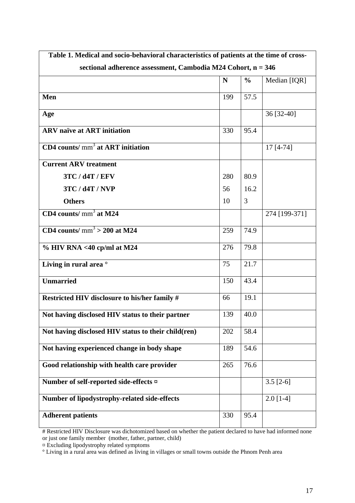| Table 1. Medical and socio-behavioral characteristics of patients at the time of cross- |     |               |               |  |  |  |  |
|-----------------------------------------------------------------------------------------|-----|---------------|---------------|--|--|--|--|
| sectional adherence assessment, Cambodia M24 Cohort, n = 346                            |     |               |               |  |  |  |  |
|                                                                                         | N   | $\frac{0}{0}$ | Median [IQR]  |  |  |  |  |
| Men                                                                                     | 199 | 57.5          |               |  |  |  |  |
| Age                                                                                     |     |               | 36 [32-40]    |  |  |  |  |
| <b>ARV</b> naïve at <b>ART</b> initiation                                               | 330 | 95.4          |               |  |  |  |  |
| $CD4$ counts/ $mm3$ at ART initiation                                                   |     |               | 17 [4-74]     |  |  |  |  |
| <b>Current ARV treatment</b>                                                            |     |               |               |  |  |  |  |
| 3TC / d4T / EFV                                                                         | 280 | 80.9          |               |  |  |  |  |
| 3TC / d4T / NVP                                                                         | 56  | 16.2          |               |  |  |  |  |
| <b>Others</b>                                                                           | 10  | 3             |               |  |  |  |  |
| CD4 counts/ $\text{mm}^3$ at M24                                                        |     |               | 274 [199-371] |  |  |  |  |
| CD4 counts/ $\text{mm}^3$ > 200 at M24                                                  | 259 | 74.9          |               |  |  |  |  |
| $\%$ HIV RNA <40 cp/ml at M24                                                           | 276 | 79.8          |               |  |  |  |  |
| Living in rural area <sup>o</sup>                                                       | 75  | 21.7          |               |  |  |  |  |
| <b>Unmarried</b>                                                                        | 150 | 43.4          |               |  |  |  |  |
| Restricted HIV disclosure to his/her family #                                           | 66  | 19.1          |               |  |  |  |  |
| Not having disclosed HIV status to their partner                                        | 139 | 40.0          |               |  |  |  |  |
| Not having disclosed HIV status to their child(ren)                                     | 202 | 58.4          |               |  |  |  |  |
| Not having experienced change in body shape                                             | 189 | 54.6          |               |  |  |  |  |
| Good relationship with health care provider                                             | 265 | 76.6          |               |  |  |  |  |
| Number of self-reported side-effects $\alpha$                                           |     |               | $3.5$ [2-6]   |  |  |  |  |
| <b>Number of lipodystrophy-related side-effects</b>                                     |     |               | $2.0$ [1-4]   |  |  |  |  |
| <b>Adherent patients</b>                                                                | 330 | 95.4          |               |  |  |  |  |

# Restricted HIV Disclosure was dichotomized based on whether the patient declared to have had informed none or just one family member (mother, father, partner, child)

¤ Excluding lipodystrophy related symptoms

<sup>°</sup> Living in a rural area was defined as living in villages or small towns outside the Phnom Penh area